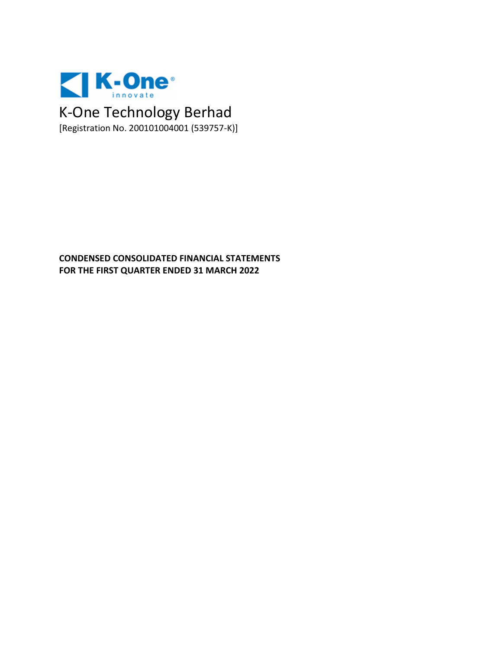

**CONDENSED CONSOLIDATED FINANCIAL STATEMENTS FOR THE FIRST QUARTER ENDED 31 MARCH 2022**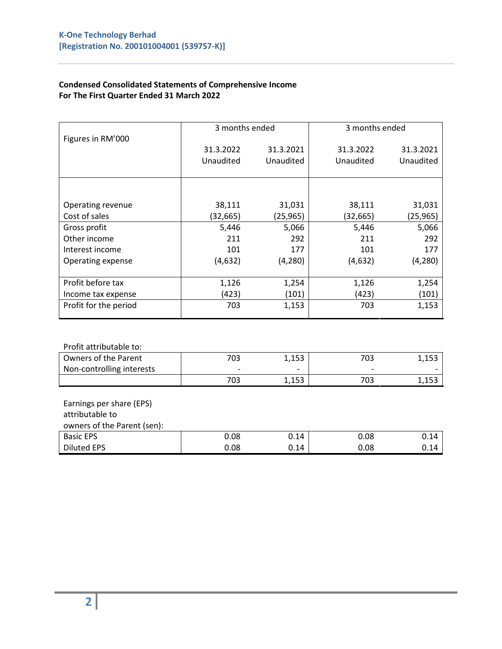#### **Condensed Consolidated Statements of Comprehensive Income For The First Quarter Ended 31 March 2022**

|                       | 3 months ended |           | 3 months ended |           |
|-----------------------|----------------|-----------|----------------|-----------|
| Figures in RM'000     |                |           |                |           |
|                       | 31.3.2022      | 31.3.2021 | 31.3.2022      | 31.3.2021 |
|                       | Unaudited      | Unaudited | Unaudited      | Unaudited |
|                       |                |           |                |           |
|                       |                |           |                |           |
| Operating revenue     | 38,111         | 31,031    | 38,111         | 31,031    |
| Cost of sales         | (32, 665)      | (25,965)  | (32, 665)      | (25, 965) |
| Gross profit          | 5,446          | 5,066     | 5,446          | 5,066     |
| Other income          | 211            | 292       | 211            | 292       |
| Interest income       | 101            | 177       | 101            | 177       |
| Operating expense     | (4,632)        | (4,280)   | (4,632)        | (4, 280)  |
|                       |                |           |                |           |
| Profit before tax     | 1,126          | 1,254     | 1,126          | 1,254     |
| Income tax expense    | (423)          | (101)     | (423)          | (101)     |
| Profit for the period | 703            | 1,153     |                | 1,153     |
|                       |                |           |                |           |

#### Profit attributable to:

| Owners of the Parent      | ב∩ד<br>υs | 1,153                    | 703 | ت ت⊥ ب⊥ |
|---------------------------|-----------|--------------------------|-----|---------|
| Non-controlling interests |           | $\overline{\phantom{0}}$ |     |         |
|                           | 703       | 1152<br>⊥,⊥⊃⊃            | 703 |         |

| Earnings per share (EPS) |
|--------------------------|
|--------------------------|

# attributable to

| owners of the Parent (sen): |      |      |      |      |
|-----------------------------|------|------|------|------|
| <b>Basic EPS</b>            | 0.08 | 0.14 | 0.08 | 0.14 |
| <b>Diluted EPS</b>          | 0.08 | 0.14 | 0.08 | 0.14 |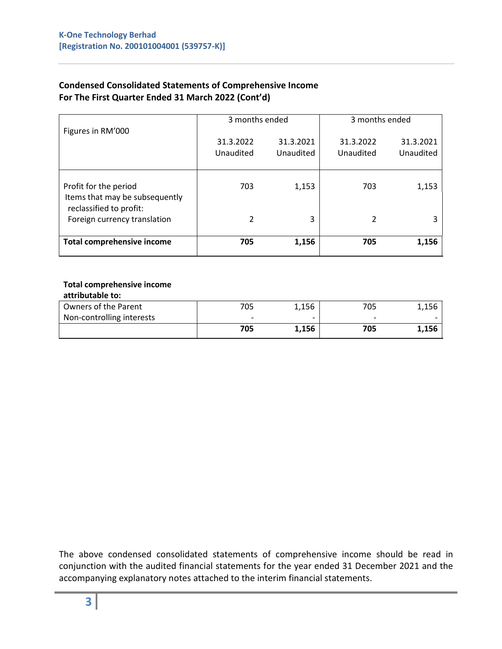| <b>Condensed Consolidated Statements of Comprehensive Income</b> |
|------------------------------------------------------------------|
| For The First Quarter Ended 31 March 2022 (Cont'd)               |

|                                                                                    | 3 months ended         |                        | 3 months ended         |                        |  |
|------------------------------------------------------------------------------------|------------------------|------------------------|------------------------|------------------------|--|
| Figures in RM'000                                                                  | 31.3.2022<br>Unaudited | 31.3.2021<br>Unaudited | 31.3.2022<br>Unaudited | 31.3.2021<br>Unaudited |  |
| Profit for the period<br>Items that may be subsequently<br>reclassified to profit: | 703                    | 1,153                  | 703                    | 1,153                  |  |
| Foreign currency translation                                                       | 2                      | 3                      | 2                      |                        |  |
| <b>Total comprehensive income</b>                                                  | 705                    | 1,156                  | 705                    | 1,156                  |  |

#### **Total comprehensive income attributable to:**

| attributable to.          |                          |       |                          |       |
|---------------------------|--------------------------|-------|--------------------------|-------|
| Owners of the Parent      | 705                      | 1,156 | 705                      | 1,156 |
| Non-controlling interests | $\overline{\phantom{0}}$ |       | $\overline{\phantom{0}}$ |       |
|                           | 705                      | 1,156 | 705                      | 1,156 |

The above condensed consolidated statements of comprehensive income should be read in conjunction with the audited financial statements for the year ended 31 December 2021 and the accompanying explanatory notes attached to the interim financial statements.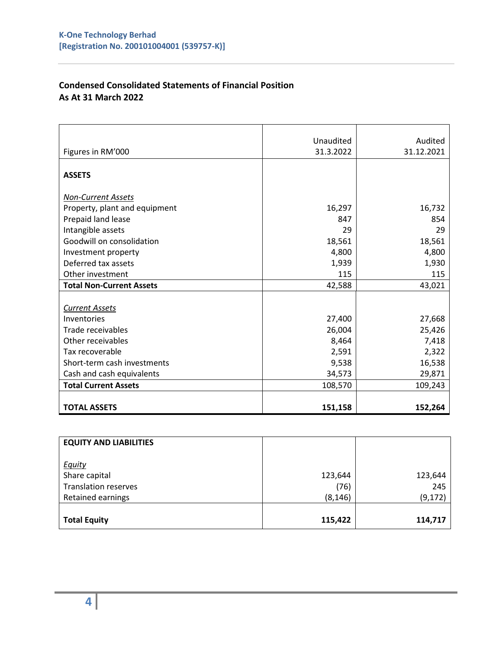## **Condensed Consolidated Statements of Financial Position As At 31 March 2022**

|                                 | Unaudited | Audited    |
|---------------------------------|-----------|------------|
| Figures in RM'000               | 31.3.2022 | 31.12.2021 |
|                                 |           |            |
| <b>ASSETS</b>                   |           |            |
| <b>Non-Current Assets</b>       |           |            |
| Property, plant and equipment   | 16,297    | 16,732     |
| Prepaid land lease              | 847       | 854        |
| Intangible assets               | 29        | 29         |
| Goodwill on consolidation       | 18,561    | 18,561     |
|                                 |           |            |
| Investment property             | 4,800     | 4,800      |
| Deferred tax assets             | 1,939     | 1,930      |
| Other investment                | 115       | 115        |
| <b>Total Non-Current Assets</b> | 42,588    | 43,021     |
|                                 |           |            |
| <b>Current Assets</b>           |           |            |
| Inventories                     | 27,400    | 27,668     |
| Trade receivables               | 26,004    | 25,426     |
| Other receivables               | 8,464     | 7,418      |
| Tax recoverable                 | 2,591     | 2,322      |
| Short-term cash investments     | 9,538     | 16,538     |
| Cash and cash equivalents       | 34,573    | 29,871     |
| <b>Total Current Assets</b>     | 108,570   | 109,243    |
|                                 |           |            |
| <b>TOTAL ASSETS</b>             | 151,158   | 152,264    |

| <b>EQUITY AND LIABILITIES</b> |          |          |
|-------------------------------|----------|----------|
| <b>Equity</b>                 |          |          |
| Share capital                 | 123,644  | 123,644  |
| <b>Translation reserves</b>   | (76)     | 245      |
| <b>Retained earnings</b>      | (8, 146) | (9, 172) |
|                               |          |          |
| <b>Total Equity</b>           | 115,422  | 114,717  |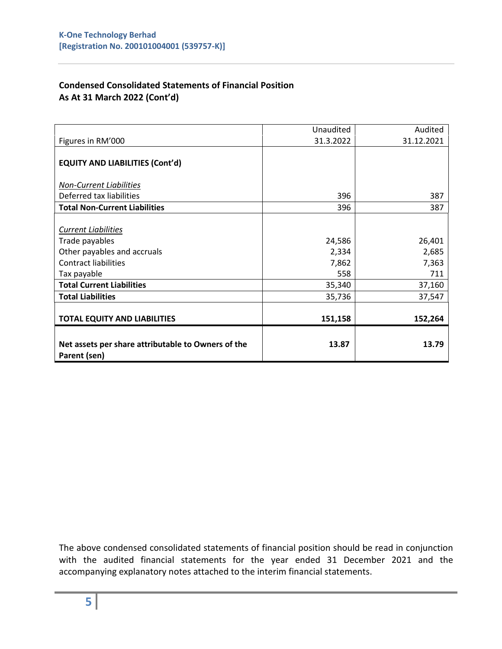## **Condensed Consolidated Statements of Financial Position As At 31 March 2022 (Cont'd)**

| Net assets per share attributable to Owners of the<br>Parent (sen) | 13.87     | 13.79      |
|--------------------------------------------------------------------|-----------|------------|
| <b>TOTAL EQUITY AND LIABILITIES</b>                                | 151,158   | 152,264    |
| <b>Total Liabilities</b>                                           | 35,736    | 37,547     |
| <b>Total Current Liabilities</b>                                   | 35,340    | 37,160     |
| Tax payable                                                        | 558       | 711        |
| <b>Contract liabilities</b>                                        | 7,862     | 7,363      |
| Other payables and accruals                                        | 2,334     | 2,685      |
| Trade payables                                                     | 24,586    | 26,401     |
| <b>Current Liabilities</b>                                         |           |            |
| <b>Total Non-Current Liabilities</b>                               | 396       | 387        |
| Deferred tax liabilities                                           | 396       | 387        |
| <b>Non-Current Liabilities</b>                                     |           |            |
| <b>EQUITY AND LIABILITIES (Cont'd)</b>                             |           |            |
| Figures in RM'000                                                  | 31.3.2022 | 31.12.2021 |
|                                                                    | Unaudited | Audited    |

The above condensed consolidated statements of financial position should be read in conjunction with the audited financial statements for the year ended 31 December 2021 and the accompanying explanatory notes attached to the interim financial statements.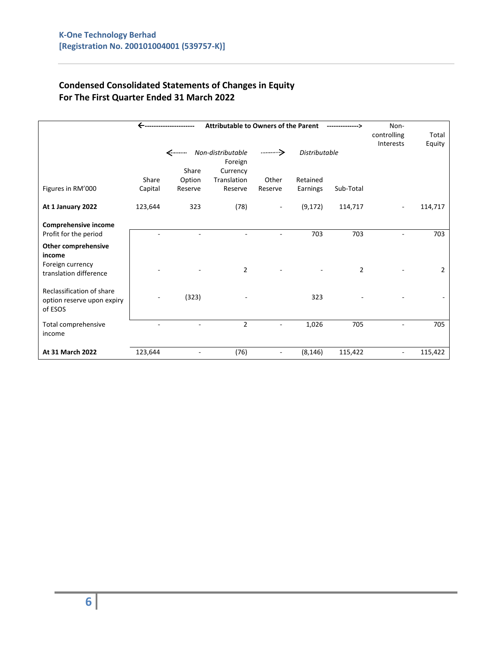# **Condensed Consolidated Statements of Changes in Equity For The First Quarter Ended 31 March 2022**

|                                                                    | ←       | <b>Attributable to Owners of the Parent</b> | -------------->   | Non-                     |                      |                |             |                |
|--------------------------------------------------------------------|---------|---------------------------------------------|-------------------|--------------------------|----------------------|----------------|-------------|----------------|
|                                                                    |         |                                             |                   |                          |                      |                | controlling | Total          |
|                                                                    |         |                                             |                   |                          |                      |                | Interests   | Equity         |
|                                                                    |         | <………                                        | Non-distributable |                          | <b>Distributable</b> |                |             |                |
|                                                                    |         |                                             | Foreign           |                          |                      |                |             |                |
|                                                                    |         | Share                                       | Currency          |                          |                      |                |             |                |
|                                                                    | Share   | Option                                      | Translation       | Other                    | Retained             |                |             |                |
| Figures in RM'000                                                  | Capital | Reserve                                     | Reserve           | Reserve                  | Earnings             | Sub-Total      |             |                |
| At 1 January 2022                                                  | 123,644 | 323                                         | (78)              | $\overline{\phantom{a}}$ | (9, 172)             | 114,717        |             | 114,717        |
| Comprehensive income                                               |         |                                             |                   |                          |                      |                |             |                |
| Profit for the period                                              |         |                                             |                   |                          | 703                  | 703            |             | 703            |
| <b>Other comprehensive</b><br>income                               |         |                                             |                   |                          |                      |                |             |                |
| Foreign currency<br>translation difference                         |         |                                             | $\overline{2}$    |                          |                      | $\overline{2}$ |             | $\overline{2}$ |
| Reclassification of share<br>option reserve upon expiry<br>of ESOS |         | (323)                                       |                   |                          | 323                  |                |             |                |
| Total comprehensive<br>income                                      |         |                                             | $\overline{2}$    |                          | 1,026                | 705            |             | 705            |
| At 31 March 2022                                                   | 123,644 |                                             | (76)              |                          | (8, 146)             | 115,422        |             | 115,422        |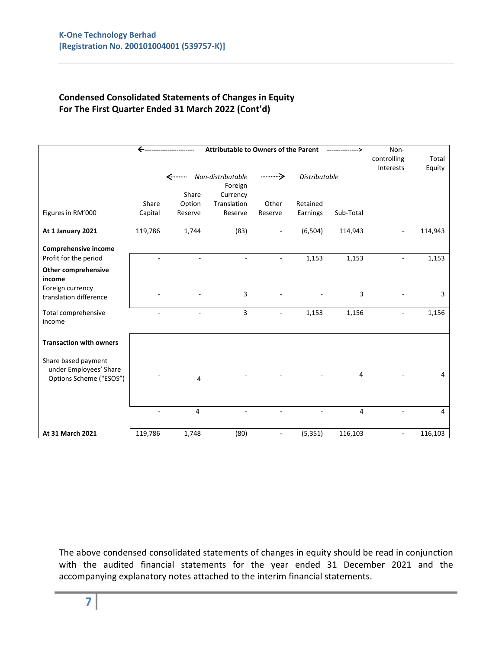## **Condensed Consolidated Statements of Changes in Equity For The First Quarter Ended 31 March 2022 (Cont'd)**

|                                               | <b>Attributable to Owners of the Parent</b> |         |                                                     |                |                      |                | Non-<br>controlling<br>Interests | Total<br>Equity |
|-----------------------------------------------|---------------------------------------------|---------|-----------------------------------------------------|----------------|----------------------|----------------|----------------------------------|-----------------|
|                                               |                                             | Share   | <--------- Non-distributable<br>Foreign<br>Currency |                | <b>Distributable</b> |                |                                  |                 |
|                                               | Share                                       | Option  | Translation                                         | Other          | Retained             |                |                                  |                 |
| Figures in RM'000                             | Capital                                     | Reserve | Reserve                                             | Reserve        | Earnings             | Sub-Total      |                                  |                 |
| At 1 January 2021                             | 119,786                                     | 1,744   | (83)                                                |                | (6, 504)             | 114,943        |                                  | 114,943         |
| Comprehensive income                          |                                             |         |                                                     |                |                      |                |                                  |                 |
| Profit for the period                         |                                             |         |                                                     |                | 1,153                | 1,153          |                                  | 1,153           |
| <b>Other comprehensive</b><br>income          |                                             |         |                                                     |                |                      |                |                                  |                 |
| Foreign currency<br>translation difference    |                                             |         | $\overline{3}$                                      |                |                      | $\overline{3}$ |                                  | 3               |
| Total comprehensive<br>income                 |                                             |         | 3                                                   |                | 1,153                | 1,156          |                                  | 1,156           |
| <b>Transaction with owners</b>                |                                             |         |                                                     |                |                      |                |                                  |                 |
| Share based payment<br>under Employees' Share |                                             |         |                                                     |                |                      | 4              |                                  | 4               |
| Options Scheme ("ESOS")                       |                                             | 4       |                                                     |                |                      |                |                                  |                 |
|                                               |                                             | 4       |                                                     |                |                      | $\overline{4}$ |                                  | $\overline{4}$  |
| At 31 March 2021                              | 119,786                                     | 1,748   | (80)                                                | $\blacksquare$ | (5, 351)             | 116,103        | $\blacksquare$                   | 116,103         |

The above condensed consolidated statements of changes in equity should be read in conjunction with the audited financial statements for the year ended 31 December 2021 and the accompanying explanatory notes attached to the interim financial statements.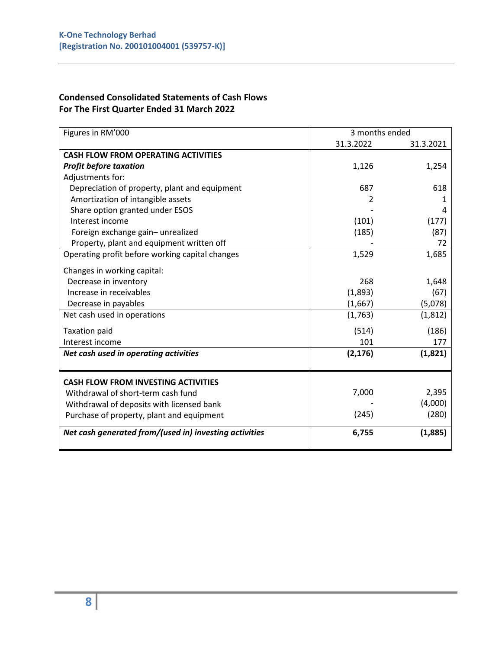## **Condensed Consolidated Statements of Cash Flows For The First Quarter Ended 31 March 2022**

| Figures in RM'000                                      | 3 months ended |           |
|--------------------------------------------------------|----------------|-----------|
|                                                        | 31.3.2022      | 31.3.2021 |
| <b>CASH FLOW FROM OPERATING ACTIVITIES</b>             |                |           |
| <b>Profit before taxation</b>                          | 1,126          | 1,254     |
| Adjustments for:                                       |                |           |
| Depreciation of property, plant and equipment          | 687            | 618       |
| Amortization of intangible assets                      | 2              | 1         |
| Share option granted under ESOS                        |                | 4         |
| Interest income                                        | (101)          | (177)     |
| Foreign exchange gain-unrealized                       | (185)          | (87)      |
| Property, plant and equipment written off              |                | 72        |
| Operating profit before working capital changes        | 1,529          | 1,685     |
| Changes in working capital:                            |                |           |
| Decrease in inventory                                  | 268            | 1,648     |
| Increase in receivables                                | (1,893)        | (67)      |
| Decrease in payables                                   | (1,667)        | (5,078)   |
| Net cash used in operations                            | (1,763)        | (1,812)   |
| <b>Taxation paid</b>                                   | (514)          | (186)     |
| Interest income                                        | 101            | 177       |
| Net cash used in operating activities                  | (2, 176)       | (1,821)   |
|                                                        |                |           |
| <b>CASH FLOW FROM INVESTING ACTIVITIES</b>             |                |           |
| Withdrawal of short-term cash fund                     | 7,000          | 2,395     |
| Withdrawal of deposits with licensed bank              |                | (4,000)   |
| Purchase of property, plant and equipment              | (245)          | (280)     |
| Net cash generated from/(used in) investing activities | 6,755          | (1,885)   |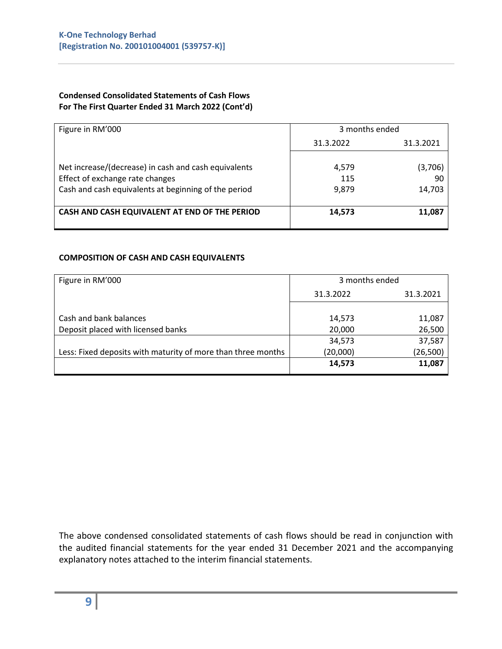#### **Condensed Consolidated Statements of Cash Flows For The First Quarter Ended 31 March 2022 (Cont'd)**

| Figure in RM'000                                     | 3 months ended         |         |
|------------------------------------------------------|------------------------|---------|
|                                                      | 31.3.2022<br>31.3.2021 |         |
|                                                      |                        |         |
| Net increase/(decrease) in cash and cash equivalents | 4,579                  | (3,706) |
| Effect of exchange rate changes                      | 115                    | 90      |
| Cash and cash equivalents at beginning of the period | 9,879                  | 14,703  |
|                                                      |                        |         |
| CASH AND CASH EQUIVALENT AT END OF THE PERIOD        | 14,573                 | 11,087  |
|                                                      |                        |         |

#### **COMPOSITION OF CASH AND CASH EQUIVALENTS**

| Figure in RM'000                                             | 3 months ended         |           |
|--------------------------------------------------------------|------------------------|-----------|
|                                                              | 31.3.2022<br>31.3.2021 |           |
|                                                              |                        |           |
| Cash and bank balances                                       | 14,573                 | 11,087    |
| Deposit placed with licensed banks                           | 20,000                 | 26,500    |
|                                                              | 34,573                 | 37,587    |
| Less: Fixed deposits with maturity of more than three months | (20,000)               | (26, 500) |
|                                                              | 14,573                 | 11,087    |

The above condensed consolidated statements of cash flows should be read in conjunction with the audited financial statements for the year ended 31 December 2021 and the accompanying explanatory notes attached to the interim financial statements.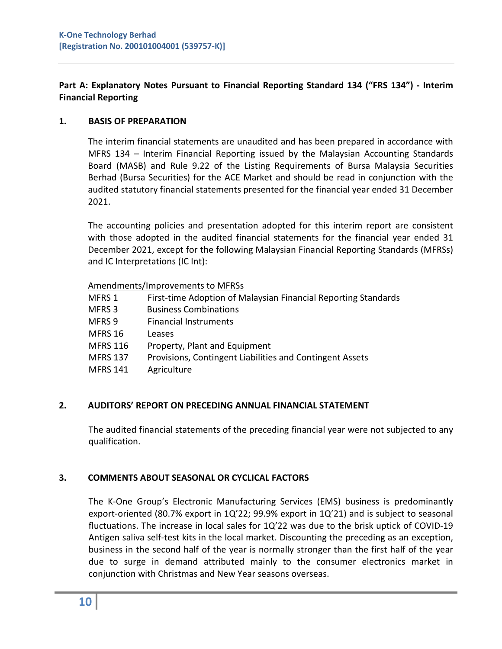## **Part A: Explanatory Notes Pursuant to Financial Reporting Standard 134 ("FRS 134") - Interim Financial Reporting**

### **1. BASIS OF PREPARATION**

The interim financial statements are unaudited and has been prepared in accordance with MFRS 134 – Interim Financial Reporting issued by the Malaysian Accounting Standards Board (MASB) and Rule 9.22 of the Listing Requirements of Bursa Malaysia Securities Berhad (Bursa Securities) for the ACE Market and should be read in conjunction with the audited statutory financial statements presented for the financial year ended 31 December 2021.

The accounting policies and presentation adopted for this interim report are consistent with those adopted in the audited financial statements for the financial year ended 31 December 2021, except for the following Malaysian Financial Reporting Standards (MFRSs) and IC Interpretations (IC Int):

### Amendments/Improvements to MFRSs

- MFRS 1 First-time Adoption of Malaysian Financial Reporting Standards
- MFRS 3 Business Combinations
- MFRS 9 Financial Instruments
- MFRS 16 Leases
- MFRS 116 Property, Plant and Equipment
- MFRS 137 Provisions, Contingent Liabilities and Contingent Assets
- MFRS 141 Agriculture

## **2. AUDITORS' REPORT ON PRECEDING ANNUAL FINANCIAL STATEMENT**

The audited financial statements of the preceding financial year were not subjected to any qualification.

## **3. COMMENTS ABOUT SEASONAL OR CYCLICAL FACTORS**

The K-One Group's Electronic Manufacturing Services (EMS) business is predominantly export-oriented (80.7% export in 1Q'22; 99.9% export in 1Q'21) and is subject to seasonal fluctuations. The increase in local sales for 1Q'22 was due to the brisk uptick of COVID-19 Antigen saliva self-test kits in the local market. Discounting the preceding as an exception, business in the second half of the year is normally stronger than the first half of the year due to surge in demand attributed mainly to the consumer electronics market in conjunction with Christmas and New Year seasons overseas.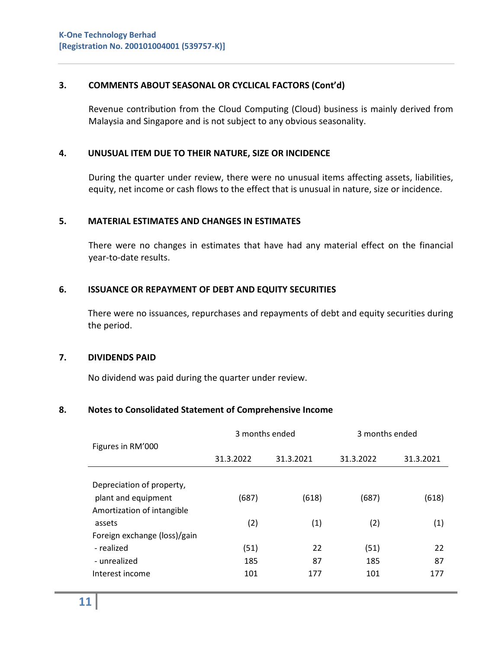### **3. COMMENTS ABOUT SEASONAL OR CYCLICAL FACTORS (Cont'd)**

Revenue contribution from the Cloud Computing (Cloud) business is mainly derived from Malaysia and Singapore and is not subject to any obvious seasonality.

### **4. UNUSUAL ITEM DUE TO THEIR NATURE, SIZE OR INCIDENCE**

During the quarter under review, there were no unusual items affecting assets, liabilities, equity, net income or cash flows to the effect that is unusual in nature, size or incidence.

#### **5. MATERIAL ESTIMATES AND CHANGES IN ESTIMATES**

There were no changes in estimates that have had any material effect on the financial year-to-date results.

#### **6. ISSUANCE OR REPAYMENT OF DEBT AND EQUITY SECURITIES**

There were no issuances, repurchases and repayments of debt and equity securities during the period.

#### **7. DIVIDENDS PAID**

No dividend was paid during the quarter under review.

#### **8. Notes to Consolidated Statement of Comprehensive Income**

|                              | 3 months ended |           | 3 months ended |           |
|------------------------------|----------------|-----------|----------------|-----------|
| Figures in RM'000            |                |           |                |           |
|                              | 31.3.2022      | 31.3.2021 | 31.3.2022      | 31.3.2021 |
|                              |                |           |                |           |
| Depreciation of property,    |                |           |                |           |
| plant and equipment          | (687)          | (618)     | (687)          | (618)     |
| Amortization of intangible   |                |           |                |           |
| assets                       | (2)            | (1)       | (2)            | (1)       |
| Foreign exchange (loss)/gain |                |           |                |           |
| - realized                   | (51)           | 22        | (51)           | 22        |
| - unrealized                 | 185            | 87        | 185            | 87        |
| Interest income              | 101            | 177       | 101            | 177       |
|                              |                |           |                |           |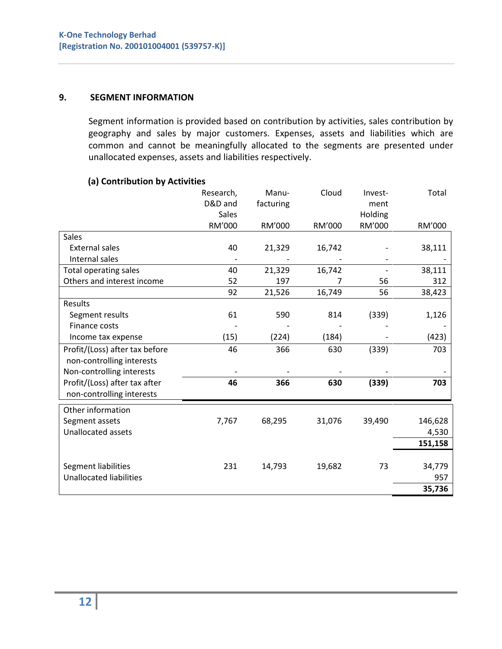#### **9. SEGMENT INFORMATION**

Segment information is provided based on contribution by activities, sales contribution by geography and sales by major customers. Expenses, assets and liabilities which are common and cannot be meaningfully allocated to the segments are presented under unallocated expenses, assets and liabilities respectively.

### **(a) Contribution by Activities**

|                                | Research,<br>D&D and<br><b>Sales</b> | Manu-<br>facturing | Cloud  | Invest-<br>ment<br>Holding | Total   |
|--------------------------------|--------------------------------------|--------------------|--------|----------------------------|---------|
|                                | RM'000                               | RM'000             | RM'000 | RM'000                     | RM'000  |
| <b>Sales</b>                   |                                      |                    |        |                            |         |
| <b>External sales</b>          | 40                                   | 21,329             | 16,742 |                            | 38,111  |
| Internal sales                 |                                      |                    |        |                            |         |
| <b>Total operating sales</b>   | 40                                   | 21,329             | 16,742 |                            | 38,111  |
| Others and interest income     | 52                                   | 197                | 7      | 56                         | 312     |
|                                | 92                                   | 21,526             | 16,749 | 56                         | 38,423  |
| Results                        |                                      |                    |        |                            |         |
| Segment results                | 61                                   | 590                | 814    | (339)                      | 1,126   |
| Finance costs                  |                                      |                    |        |                            |         |
| Income tax expense             | (15)                                 | (224)              | (184)  |                            | (423)   |
| Profit/(Loss) after tax before | 46                                   | 366                | 630    | (339)                      | 703     |
| non-controlling interests      |                                      |                    |        |                            |         |
| Non-controlling interests      |                                      |                    |        |                            |         |
| Profit/(Loss) after tax after  | 46                                   | 366                | 630    | (339)                      | 703     |
| non-controlling interests      |                                      |                    |        |                            |         |
| Other information              |                                      |                    |        |                            |         |
| Segment assets                 | 7,767                                | 68,295             | 31,076 | 39,490                     | 146,628 |
| <b>Unallocated assets</b>      |                                      |                    |        |                            | 4,530   |
|                                |                                      |                    |        |                            | 151,158 |
|                                |                                      |                    |        |                            |         |
| Segment liabilities            | 231                                  | 14,793             | 19,682 | 73                         | 34,779  |
| <b>Unallocated liabilities</b> |                                      |                    |        |                            | 957     |
|                                |                                      |                    |        |                            | 35,736  |
|                                |                                      |                    |        |                            |         |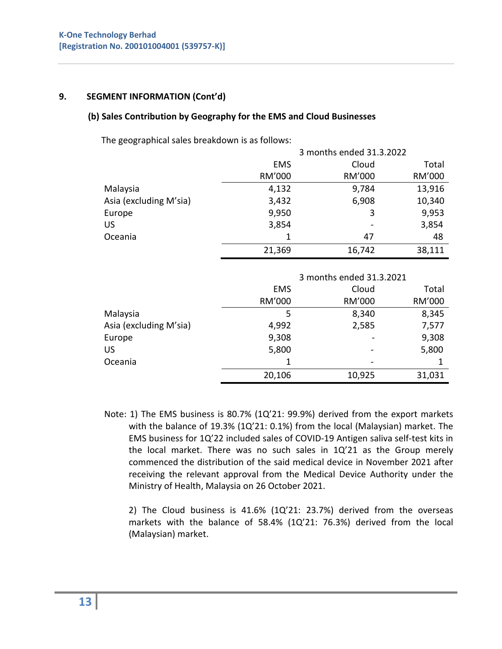### **9. SEGMENT INFORMATION (Cont'd)**

### **(b) Sales Contribution by Geography for the EMS and Cloud Businesses**

The geographical sales breakdown is as follows:

|                        | 3 months ended 31.3.2022 |        |        |  |  |
|------------------------|--------------------------|--------|--------|--|--|
|                        | <b>EMS</b>               | Cloud  | Total  |  |  |
|                        | RM'000                   | RM'000 | RM'000 |  |  |
| Malaysia               | 4,132                    | 9,784  | 13,916 |  |  |
| Asia (excluding M'sia) | 3,432                    | 6,908  | 10,340 |  |  |
| Europe                 | 9,950                    | 3      | 9,953  |  |  |
| US                     | 3,854                    |        | 3,854  |  |  |
| Oceania                |                          | 47     | 48     |  |  |
|                        | 21,369                   | 16,742 | 38,111 |  |  |

|                        | 3 months ended 31.3.2021 |        |        |  |  |  |
|------------------------|--------------------------|--------|--------|--|--|--|
|                        | EMS                      | Cloud  | Total  |  |  |  |
|                        | RM'000                   | RM'000 | RM'000 |  |  |  |
| Malaysia               | 8,345<br>8,340<br>5      |        |        |  |  |  |
| Asia (excluding M'sia) | 4,992                    | 2,585  | 7,577  |  |  |  |
| Europe                 | 9,308                    |        | 9,308  |  |  |  |
| US                     | 5,800                    |        | 5,800  |  |  |  |
| Oceania                |                          |        |        |  |  |  |
|                        | 20,106                   | 10,925 | 31,031 |  |  |  |

 Note: 1) The EMS business is 80.7% (1Q'21: 99.9%) derived from the export markets with the balance of 19.3% (1Q'21: 0.1%) from the local (Malaysian) market. The EMS business for 1Q'22 included sales of COVID-19 Antigen saliva self-test kits in the local market. There was no such sales in 1Q'21 as the Group merely commenced the distribution of the said medical device in November 2021 after receiving the relevant approval from the Medical Device Authority under the Ministry of Health, Malaysia on 26 October 2021.

 2) The Cloud business is 41.6% (1Q'21: 23.7%) derived from the overseas markets with the balance of 58.4% (1Q'21: 76.3%) derived from the local (Malaysian) market.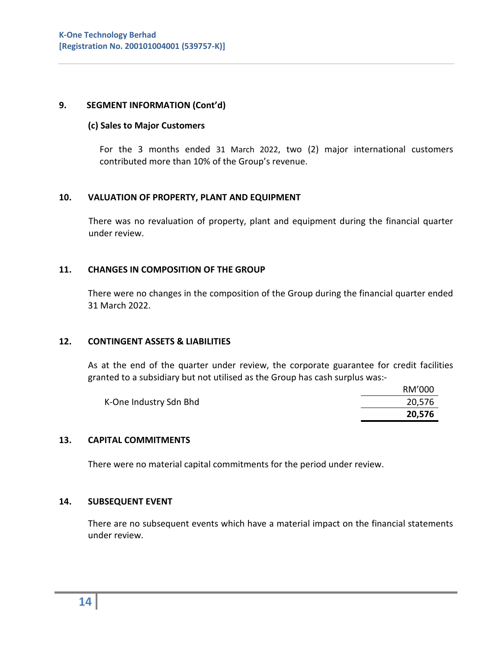#### **9. SEGMENT INFORMATION (Cont'd)**

#### **(c) Sales to Major Customers**

For the 3 months ended 31 March 2022, two (2) major international customers contributed more than 10% of the Group's revenue.

#### **10. VALUATION OF PROPERTY, PLANT AND EQUIPMENT**

There was no revaluation of property, plant and equipment during the financial quarter under review.

#### **11. CHANGES IN COMPOSITION OF THE GROUP**

There were no changes in the composition of the Group during the financial quarter ended 31 March 2022.

#### **12. CONTINGENT ASSETS & LIABILITIES**

As at the end of the quarter under review, the corporate guarantee for credit facilities granted to a subsidiary but not utilised as the Group has cash surplus was:-

|                        | RM'000 |
|------------------------|--------|
| K-One Industry Sdn Bhd | 20,576 |
|                        | 20,576 |

#### **13. CAPITAL COMMITMENTS**

There were no material capital commitments for the period under review.

#### **14. SUBSEQUENT EVENT**

 There are no subsequent events which have a material impact on the financial statements under review.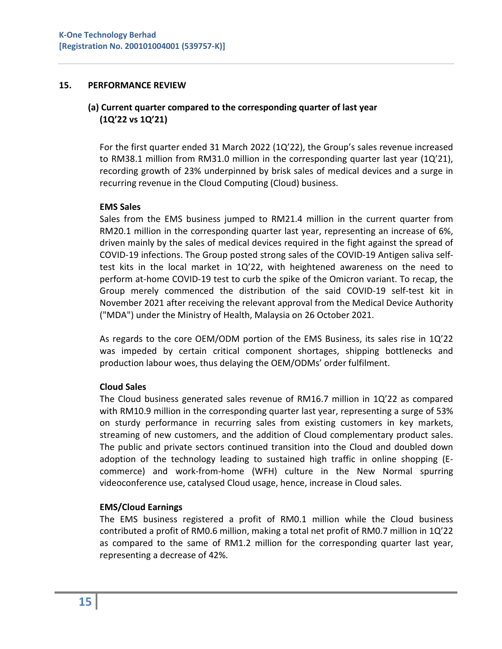#### **15. PERFORMANCE REVIEW**

## **(a) Current quarter compared to the corresponding quarter of last year (1Q'22 vs 1Q'21)**

For the first quarter ended 31 March 2022 (1Q'22), the Group's sales revenue increased to RM38.1 million from RM31.0 million in the corresponding quarter last year (1Q'21), recording growth of 23% underpinned by brisk sales of medical devices and a surge in recurring revenue in the Cloud Computing (Cloud) business.

#### **EMS Sales**

Sales from the EMS business jumped to RM21.4 million in the current quarter from RM20.1 million in the corresponding quarter last year, representing an increase of 6%, driven mainly by the sales of medical devices required in the fight against the spread of COVID-19 infections. The Group posted strong sales of the COVID-19 Antigen saliva selftest kits in the local market in 1Q'22, with heightened awareness on the need to perform at-home COVID-19 test to curb the spike of the Omicron variant. To recap, the Group merely commenced the distribution of the said COVID-19 self-test kit in November 2021 after receiving the relevant approval from the Medical Device Authority ("MDA") under the Ministry of Health, Malaysia on 26 October 2021.

As regards to the core OEM/ODM portion of the EMS Business, its sales rise in 1Q'22 was impeded by certain critical component shortages, shipping bottlenecks and production labour woes, thus delaying the OEM/ODMs' order fulfilment.

#### **Cloud Sales**

The Cloud business generated sales revenue of RM16.7 million in 1Q'22 as compared with RM10.9 million in the corresponding quarter last year, representing a surge of 53% on sturdy performance in recurring sales from existing customers in key markets, streaming of new customers, and the addition of Cloud complementary product sales. The public and private sectors continued transition into the Cloud and doubled down adoption of the technology leading to sustained high traffic in online shopping (Ecommerce) and work-from-home (WFH) culture in the New Normal spurring videoconference use, catalysed Cloud usage, hence, increase in Cloud sales.

#### **EMS/Cloud Earnings**

The EMS business registered a profit of RM0.1 million while the Cloud business contributed a profit of RM0.6 million, making a total net profit of RM0.7 million in 1Q'22 as compared to the same of RM1.2 million for the corresponding quarter last year, representing a decrease of 42%.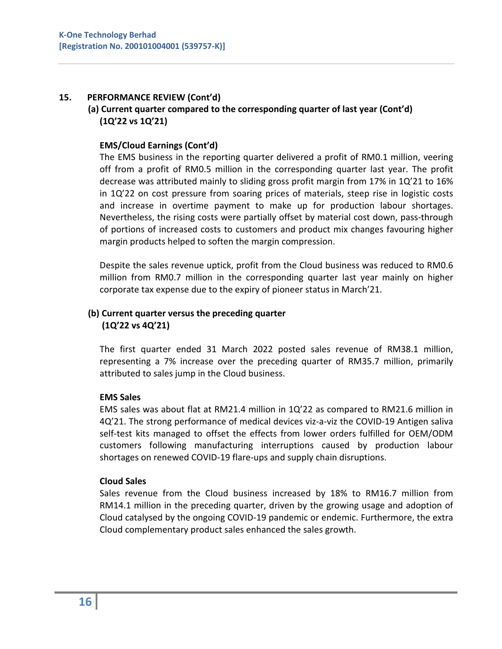### **15. PERFORMANCE REVIEW (Cont'd)**

## **(a) Current quarter compared to the corresponding quarter of last year (Cont'd) (1Q'22 vs 1Q'21)**

### **EMS/Cloud Earnings (Cont'd)**

The EMS business in the reporting quarter delivered a profit of RM0.1 million, veering off from a profit of RM0.5 million in the corresponding quarter last year. The profit decrease was attributed mainly to sliding gross profit margin from 17% in 1Q'21 to 16% in 1Q'22 on cost pressure from soaring prices of materials, steep rise in logistic costs and increase in overtime payment to make up for production labour shortages. Nevertheless, the rising costs were partially offset by material cost down, pass-through of portions of increased costs to customers and product mix changes favouring higher margin products helped to soften the margin compression.

Despite the sales revenue uptick, profit from the Cloud business was reduced to RM0.6 million from RM0.7 million in the corresponding quarter last year mainly on higher corporate tax expense due to the expiry of pioneer status in March'21.

# **(b) Current quarter versus the preceding quarter (1Q'22 vs 4Q'21)**

The first quarter ended 31 March 2022 posted sales revenue of RM38.1 million, representing a 7% increase over the preceding quarter of RM35.7 million, primarily attributed to sales jump in the Cloud business.

#### **EMS Sales**

EMS sales was about flat at RM21.4 million in 1Q'22 as compared to RM21.6 million in 4Q'21. The strong performance of medical devices viz-a-viz the COVID-19 Antigen saliva self-test kits managed to offset the effects from lower orders fulfilled for OEM/ODM customers following manufacturing interruptions caused by production labour shortages on renewed COVID-19 flare-ups and supply chain disruptions.

#### **Cloud Sales**

Sales revenue from the Cloud business increased by 18% to RM16.7 million from RM14.1 million in the preceding quarter, driven by the growing usage and adoption of Cloud catalysed by the ongoing COVID-19 pandemic or endemic. Furthermore, the extra Cloud complementary product sales enhanced the sales growth.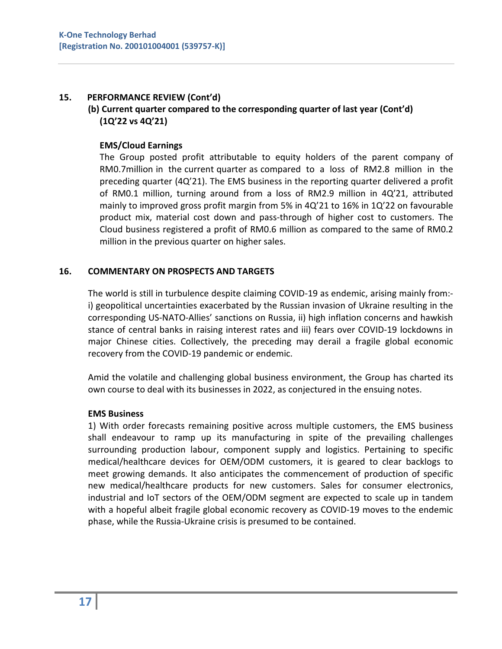### **15. PERFORMANCE REVIEW (Cont'd)**

## **(b) Current quarter compared to the corresponding quarter of last year (Cont'd) (1Q'22 vs 4Q'21)**

### **EMS/Cloud Earnings**

The Group posted profit attributable to equity holders of the parent company of RM0.7million in the current quarter as compared to a loss of RM2.8 million in the preceding quarter (4Q'21). The EMS business in the reporting quarter delivered a profit of RM0.1 million, turning around from a loss of RM2.9 million in 4Q'21, attributed mainly to improved gross profit margin from 5% in 4Q'21 to 16% in 1Q'22 on favourable product mix, material cost down and pass-through of higher cost to customers. The Cloud business registered a profit of RM0.6 million as compared to the same of RM0.2 million in the previous quarter on higher sales.

#### **16. COMMENTARY ON PROSPECTS AND TARGETS**

The world is still in turbulence despite claiming COVID-19 as endemic, arising mainly from: i) geopolitical uncertainties exacerbated by the Russian invasion of Ukraine resulting in the corresponding US-NATO-Allies' sanctions on Russia, ii) high inflation concerns and hawkish stance of central banks in raising interest rates and iii) fears over COVID-19 lockdowns in major Chinese cities. Collectively, the preceding may derail a fragile global economic recovery from the COVID-19 pandemic or endemic.

Amid the volatile and challenging global business environment, the Group has charted its own course to deal with its businesses in 2022, as conjectured in the ensuing notes.

#### **EMS Business**

1) With order forecasts remaining positive across multiple customers, the EMS business shall endeavour to ramp up its manufacturing in spite of the prevailing challenges surrounding production labour, component supply and logistics. Pertaining to specific medical/healthcare devices for OEM/ODM customers, it is geared to clear backlogs to meet growing demands. It also anticipates the commencement of production of specific new medical/healthcare products for new customers. Sales for consumer electronics, industrial and IoT sectors of the OEM/ODM segment are expected to scale up in tandem with a hopeful albeit fragile global economic recovery as COVID-19 moves to the endemic phase, while the Russia-Ukraine crisis is presumed to be contained.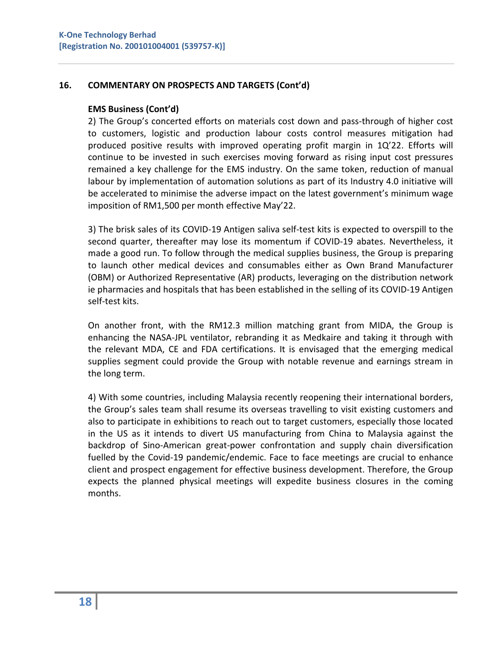### **16. COMMENTARY ON PROSPECTS AND TARGETS (Cont'd)**

#### **EMS Business (Cont'd)**

2) The Group's concerted efforts on materials cost down and pass-through of higher cost to customers, logistic and production labour costs control measures mitigation had produced positive results with improved operating profit margin in 1Q'22. Efforts will continue to be invested in such exercises moving forward as rising input cost pressures remained a key challenge for the EMS industry. On the same token, reduction of manual labour by implementation of automation solutions as part of its Industry 4.0 initiative will be accelerated to minimise the adverse impact on the latest government's minimum wage imposition of RM1,500 per month effective May'22.

3) The brisk sales of its COVID-19 Antigen saliva self-test kits is expected to overspill to the second quarter, thereafter may lose its momentum if COVID-19 abates. Nevertheless, it made a good run. To follow through the medical supplies business, the Group is preparing to launch other medical devices and consumables either as Own Brand Manufacturer (OBM) or Authorized Representative (AR) products, leveraging on the distribution network ie pharmacies and hospitals that has been established in the selling of its COVID-19 Antigen self-test kits.

On another front, with the RM12.3 million matching grant from MIDA, the Group is enhancing the NASA-JPL ventilator, rebranding it as Medkaire and taking it through with the relevant MDA, CE and FDA certifications. It is envisaged that the emerging medical supplies segment could provide the Group with notable revenue and earnings stream in the long term.

4) With some countries, including Malaysia recently reopening their international borders, the Group's sales team shall resume its overseas travelling to visit existing customers and also to participate in exhibitions to reach out to target customers, especially those located in the US as it intends to divert US manufacturing from China to Malaysia against the backdrop of Sino-American great-power confrontation and supply chain diversification fuelled by the Covid-19 pandemic/endemic. Face to face meetings are crucial to enhance client and prospect engagement for effective business development. Therefore, the Group expects the planned physical meetings will expedite business closures in the coming months.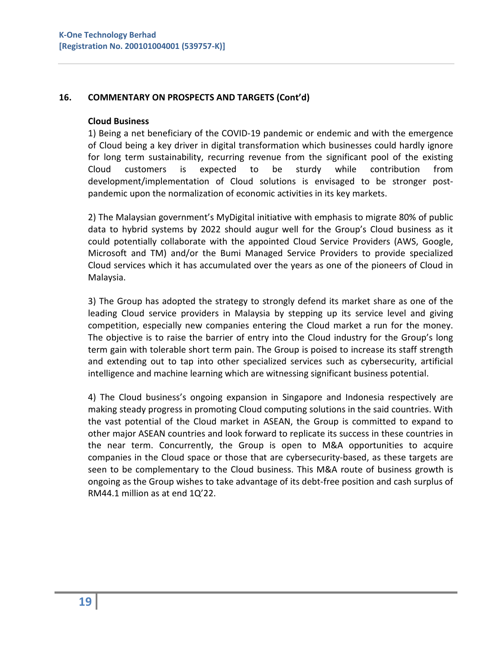### **16. COMMENTARY ON PROSPECTS AND TARGETS (Cont'd)**

#### **Cloud Business**

1) Being a net beneficiary of the COVID-19 pandemic or endemic and with the emergence of Cloud being a key driver in digital transformation which businesses could hardly ignore for long term sustainability, recurring revenue from the significant pool of the existing Cloud customers is expected to be sturdy while contribution from development/implementation of Cloud solutions is envisaged to be stronger postpandemic upon the normalization of economic activities in its key markets.

2) The Malaysian government's MyDigital initiative with emphasis to migrate 80% of public data to hybrid systems by 2022 should augur well for the Group's Cloud business as it could potentially collaborate with the appointed Cloud Service Providers (AWS, Google, Microsoft and TM) and/or the Bumi Managed Service Providers to provide specialized Cloud services which it has accumulated over the years as one of the pioneers of Cloud in Malaysia.

3) The Group has adopted the strategy to strongly defend its market share as one of the leading Cloud service providers in Malaysia by stepping up its service level and giving competition, especially new companies entering the Cloud market a run for the money. The objective is to raise the barrier of entry into the Cloud industry for the Group's long term gain with tolerable short term pain. The Group is poised to increase its staff strength and extending out to tap into other specialized services such as cybersecurity, artificial intelligence and machine learning which are witnessing significant business potential.

4) The Cloud business's ongoing expansion in Singapore and Indonesia respectively are making steady progress in promoting Cloud computing solutions in the said countries. With the vast potential of the Cloud market in ASEAN, the Group is committed to expand to other major ASEAN countries and look forward to replicate its success in these countries in the near term. Concurrently, the Group is open to M&A opportunities to acquire companies in the Cloud space or those that are cybersecurity-based, as these targets are seen to be complementary to the Cloud business. This M&A route of business growth is ongoing as the Group wishes to take advantage of its debt-free position and cash surplus of RM44.1 million as at end 1Q'22.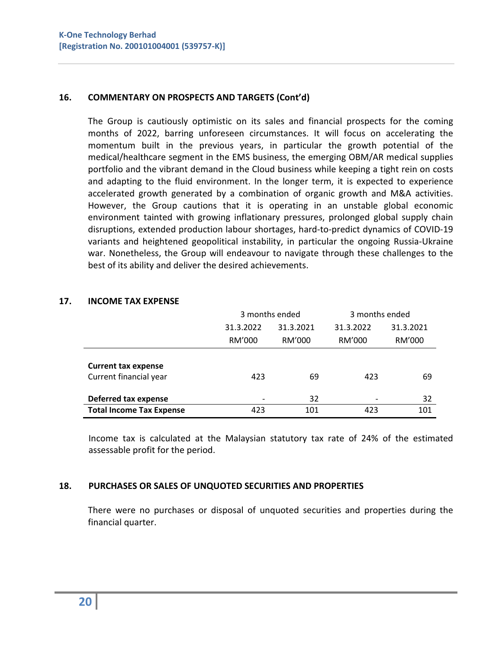### **16. COMMENTARY ON PROSPECTS AND TARGETS (Cont'd)**

The Group is cautiously optimistic on its sales and financial prospects for the coming months of 2022, barring unforeseen circumstances. It will focus on accelerating the momentum built in the previous years, in particular the growth potential of the medical/healthcare segment in the EMS business, the emerging OBM/AR medical supplies portfolio and the vibrant demand in the Cloud business while keeping a tight rein on costs and adapting to the fluid environment. In the longer term, it is expected to experience accelerated growth generated by a combination of organic growth and M&A activities. However, the Group cautions that it is operating in an unstable global economic environment tainted with growing inflationary pressures, prolonged global supply chain disruptions, extended production labour shortages, hard-to-predict dynamics of COVID-19 variants and heightened geopolitical instability, in particular the ongoing Russia-Ukraine war. Nonetheless, the Group will endeavour to navigate through these challenges to the best of its ability and deliver the desired achievements.

|                                 | 3 months ended         |        | 3 months ended |           |
|---------------------------------|------------------------|--------|----------------|-----------|
|                                 | 31.3.2022<br>31.3.2021 |        | 31.3.2022      | 31.3.2021 |
|                                 | RM'000                 | RM'000 | RM'000         | RM'000    |
|                                 |                        |        |                |           |
| <b>Current tax expense</b>      |                        |        |                |           |
| Current financial year          | 423                    | 69     | 423            | 69        |
|                                 |                        |        |                |           |
| Deferred tax expense            |                        | 32     |                | 32        |
| <b>Total Income Tax Expense</b> | 423                    | 101    | 423            | 101       |

#### **17. INCOME TAX EXPENSE**

Income tax is calculated at the Malaysian statutory tax rate of 24% of the estimated assessable profit for the period.

#### **18. PURCHASES OR SALES OF UNQUOTED SECURITIES AND PROPERTIES**

There were no purchases or disposal of unquoted securities and properties during the financial quarter.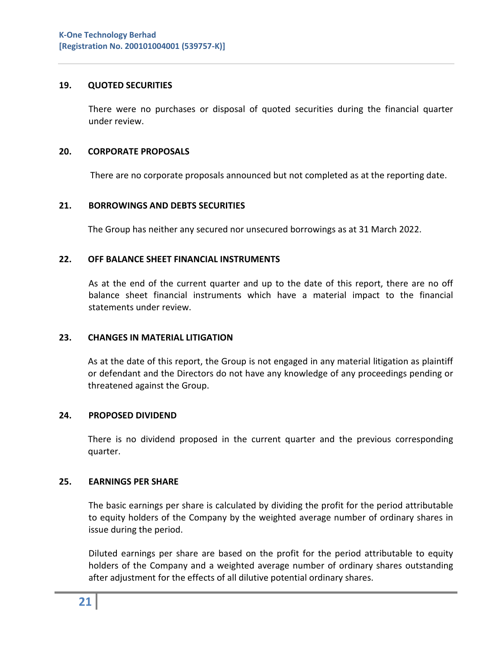#### **19. QUOTED SECURITIES**

There were no purchases or disposal of quoted securities during the financial quarter under review.

#### **20. CORPORATE PROPOSALS**

There are no corporate proposals announced but not completed as at the reporting date.

#### **21. BORROWINGS AND DEBTS SECURITIES**

The Group has neither any secured nor unsecured borrowings as at 31 March 2022.

#### **22. OFF BALANCE SHEET FINANCIAL INSTRUMENTS**

As at the end of the current quarter and up to the date of this report, there are no off balance sheet financial instruments which have a material impact to the financial statements under review.

#### **23. CHANGES IN MATERIAL LITIGATION**

As at the date of this report, the Group is not engaged in any material litigation as plaintiff or defendant and the Directors do not have any knowledge of any proceedings pending or threatened against the Group.

#### **24. PROPOSED DIVIDEND**

There is no dividend proposed in the current quarter and the previous corresponding quarter.

#### **25. EARNINGS PER SHARE**

The basic earnings per share is calculated by dividing the profit for the period attributable to equity holders of the Company by the weighted average number of ordinary shares in issue during the period.

Diluted earnings per share are based on the profit for the period attributable to equity holders of the Company and a weighted average number of ordinary shares outstanding after adjustment for the effects of all dilutive potential ordinary shares.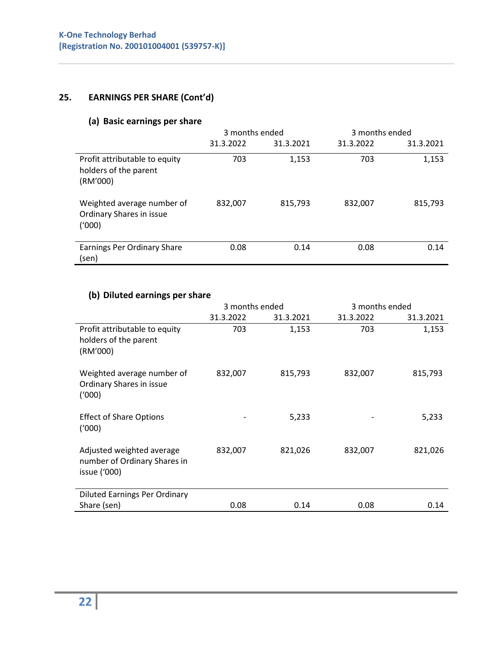# **25. EARNINGS PER SHARE (Cont'd)**

# **(a) Basic earnings per share**

|                                                                    | 3 months ended |           | 3 months ended |           |
|--------------------------------------------------------------------|----------------|-----------|----------------|-----------|
|                                                                    | 31.3.2022      | 31.3.2021 | 31.3.2022      | 31.3.2021 |
| Profit attributable to equity<br>holders of the parent<br>(RM'000) | 703            | 1,153     | 703            | 1,153     |
| Weighted average number of<br>Ordinary Shares in issue<br>(1000)   | 832,007        | 815,793   | 832,007        | 815,793   |
| Earnings Per Ordinary Share<br>(sen)                               | 0.08           | 0.14      | 0.08           | 0.14      |

# **(b) Diluted earnings per share**

|                                                                           | 3 months ended |           | 3 months ended |           |
|---------------------------------------------------------------------------|----------------|-----------|----------------|-----------|
|                                                                           | 31.3.2022      | 31.3.2021 | 31.3.2022      | 31.3.2021 |
| Profit attributable to equity<br>holders of the parent<br>(RM'000)        | 703            | 1,153     | 703            | 1,153     |
| Weighted average number of<br>Ordinary Shares in issue<br>(1000)          | 832,007        | 815,793   | 832,007        | 815,793   |
| <b>Effect of Share Options</b><br>(1000)                                  |                | 5,233     |                | 5,233     |
| Adjusted weighted average<br>number of Ordinary Shares in<br>issue ('000) | 832,007        | 821,026   | 832,007        | 821,026   |
| <b>Diluted Earnings Per Ordinary</b>                                      |                |           |                |           |
| Share (sen)                                                               | 0.08           | 0.14      | 0.08           | 0.14      |